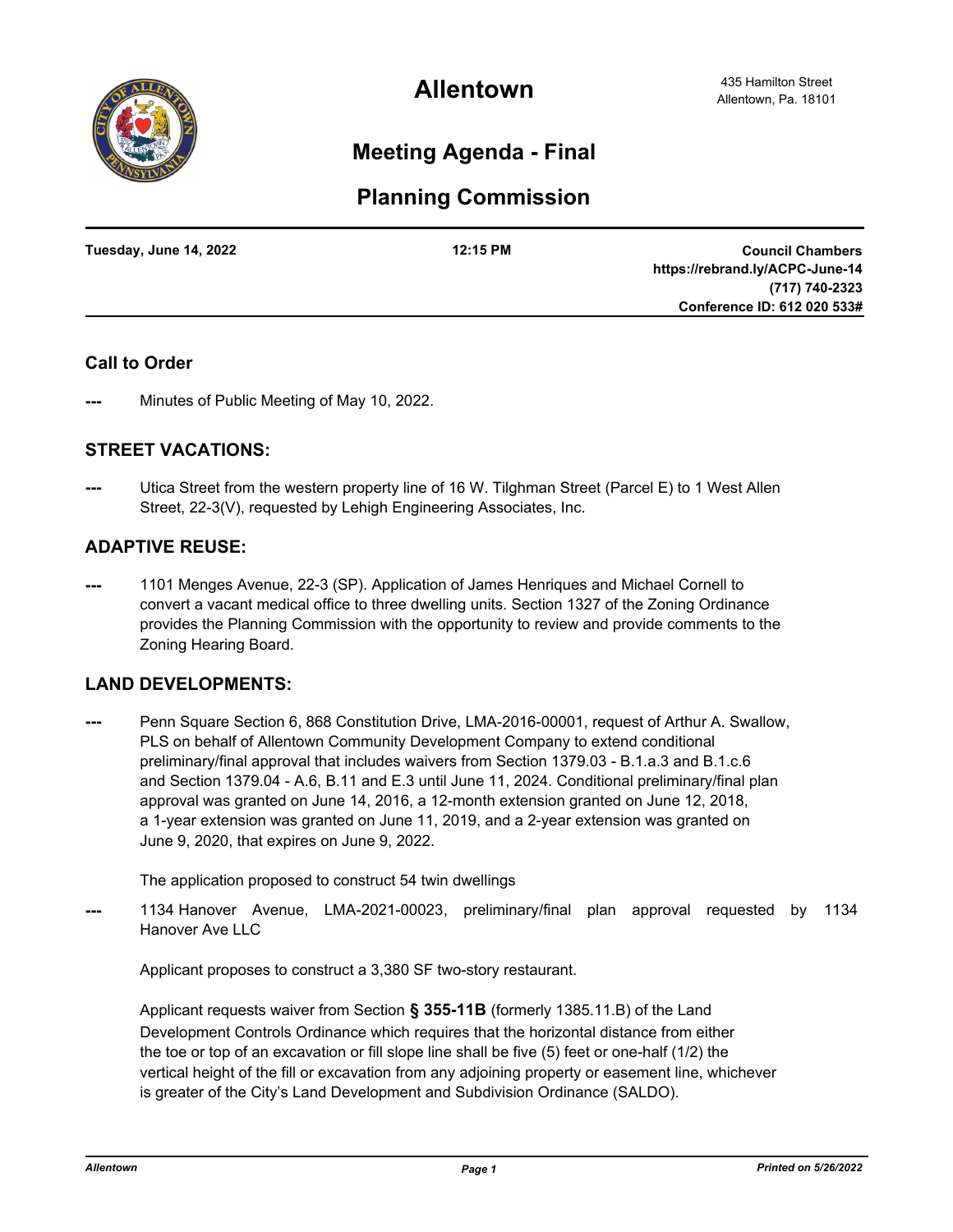

**Allentown**

# **Meeting Agenda - Final**

# **Planning Commission**

| Tuesday, June 14, 2022 | 12:15 PM | <b>Council Chambers</b>         |
|------------------------|----------|---------------------------------|
|                        |          | https://rebrand.ly/ACPC-June-14 |
|                        |          | (717) 740-2323                  |
|                        |          | Conference ID: 612 020 533#     |
|                        |          |                                 |

### **Call to Order**

Minutes of Public Meeting of May 10, 2022.

### **STREET VACATIONS:**

Utica Street from the western property line of 16 W. Tilghman Street (Parcel E) to 1 West Allen Street, 22-3(V), requested by Lehigh Engineering Associates, Inc.

## **ADAPTIVE REUSE:**

**---** 1101 Menges Avenue, 22-3 (SP). Application of James Henriques and Michael Cornell to convert a vacant medical office to three dwelling units. Section 1327 of the Zoning Ordinance provides the Planning Commission with the opportunity to review and provide comments to the Zoning Hearing Board.

### **LAND DEVELOPMENTS:**

Penn Square Section 6, 868 Constitution Drive, LMA-2016-00001, request of Arthur A. Swallow, PLS on behalf of Allentown Community Development Company to extend conditional preliminary/final approval that includes waivers from Section 1379.03 - B.1.a.3 and B.1.c.6 and Section 1379.04 - A.6, B.11 and E.3 until June 11, 2024. Conditional preliminary/final plan approval was granted on June 14, 2016, a 12-month extension granted on June 12, 2018, a 1-year extension was granted on June 11, 2019, and a 2-year extension was granted on June 9, 2020, that expires on June 9, 2022.

The application proposed to construct 54 twin dwellings

**---** 1134 Hanover Avenue, LMA-2021-00023, preliminary/final plan approval requested by 1134 Hanover Ave LLC

Applicant proposes to construct a 3,380 SF two-story restaurant.

Applicant requests waiver from Section **§ 355-11B** (formerly 1385.11.B) of the Land Development Controls Ordinance which requires that the horizontal distance from either the toe or top of an excavation or fill slope line shall be five (5) feet or one-half (1/2) the vertical height of the fill or excavation from any adjoining property or easement line, whichever is greater of the City's Land Development and Subdivision Ordinance (SALDO).